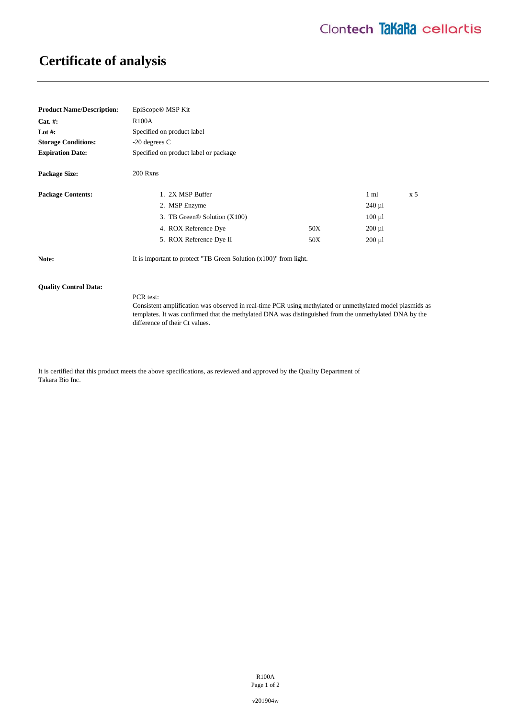# **Certificate of analysis**

| <b>Product Name/Description:</b> | EpiScope <sup>®</sup> MSP Kit                                        |     |                |           |
|----------------------------------|----------------------------------------------------------------------|-----|----------------|-----------|
| $Cat. \#:$                       | <b>R100A</b>                                                         |     |                |           |
| Lot #:                           | Specified on product label                                           |     |                |           |
| <b>Storage Conditions:</b>       | $-20$ degrees C                                                      |     |                |           |
| <b>Expiration Date:</b>          | Specified on product label or package                                |     |                |           |
| <b>Package Size:</b>             | 200 Rxns                                                             |     |                |           |
| <b>Package Contents:</b>         | 1. 2X MSP Buffer                                                     |     | $1 \text{ ml}$ | $\rm x 5$ |
|                                  | 2. MSP Enzyme                                                        |     | $240 \mu$      |           |
|                                  | 3. TB Green <sup>®</sup> Solution (X100)                             |     | $100 \mu l$    |           |
|                                  | 4. ROX Reference Dye                                                 | 50X | $200 \mu l$    |           |
|                                  | 5. ROX Reference Dye II                                              | 50X | $200 \mu l$    |           |
| Note:                            | It is important to protect "TB Green Solution $(x100)$ " from light. |     |                |           |

#### **Quality Control Data:**

PCR test: Consistent amplification was observed in real-time PCR using methylated or unmethylated model plasmids as templates. It was confirmed that the methylated DNA was distinguished from the unmethylated DNA by the difference of their Ct values.

It is certified that this product meets the above specifications, as reviewed and approved by the Quality Department of Takara Bio Inc.

> R100A Page 1 of 2

v201904w